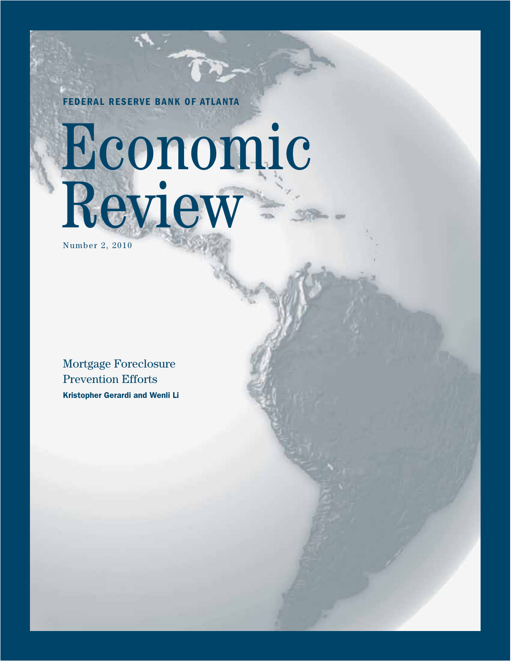FEDERAL RESERVE BANK OF ATLANTA

# Economic Review

Number 2, 2010

Mortgage Foreclosure Prevention Efforts Kristopher Gerardi and Wenli Li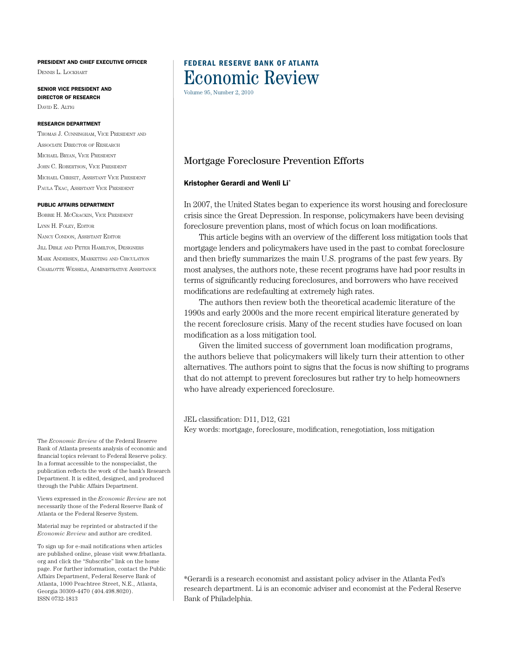### PRESIDENT AND CHIEF EXECUTIVE OFFICER

Dennis L. Lockhart

SENIOR VICE PRESIDENT AND DIRECTOR OF RESEARCH DAVID E. ALTIG

## RESEARCH DEPARTMENT

Thomas J. Cunningham, Vice President and Associate Director of Research Michael Bryan, Vice President John C. Robertson, Vice President Michael Chriszt, Assistant Vice President Paula Tkac, Assistant Vice President

### PUBLIC AFFAIRS DEPARTMENT

Bobbie H. McCrackin, Vice President LYNN H. FOLEY, EDITOR Nancy Condon, Assistant Editor Jill Dible and Peter Hamilton, Designers Mark Andersen, Marketing and Circulation Charlotte Wessels, Administrative Assistance

The *Economic Review* of the Federal Reserve Bank of Atlanta presents analysis of economic and financial topics relevant to Federal Reserve policy. In a format accessible to the nonspecialist, the publication reflects the work of the bank's Research Department. It is edited, designed, and produced through the Public Affairs Department.

Views expressed in the *Economic Review* are not necessarily those of the Federal Reserve Bank of Atlanta or the Federal Reserve System.

Material may be reprinted or abstracted if the *Economic Review* and author are credited.

To sign up for e-mail notifications when articles are published online, please visit www.frbatlanta. org and click the "Subscribe" link on the home page. For further information, contact the Public Affairs Department, Federal Reserve Bank of Atlanta, 1000 Peachtree Street, N.E., Atlanta, Georgia 30309-4470 (404.498.8020). ISSN 0732-1813

# Federal Reserve Bank of Atlanta Economic Review

Volume 95, Number 2, 2010

# Mortgage Foreclosure Prevention Efforts

# Kristopher Gerardi and Wenli Li\*

In 2007, the United States began to experience its worst housing and foreclosure crisis since the Great Depression. In response, policymakers have been devising foreclosure prevention plans, most of which focus on loan modifications.

This article begins with an overview of the different loss mitigation tools that mortgage lenders and policymakers have used in the past to combat foreclosure and then briefly summarizes the main U.S. programs of the past few years. By most analyses, the authors note, these recent programs have had poor results in terms of significantly reducing foreclosures, and borrowers who have received modifications are redefaulting at extremely high rates.

The authors then review both the theoretical academic literature of the 1990s and early 2000s and the more recent empirical literature generated by the recent foreclosure crisis. Many of the recent studies have focused on loan modification as a loss mitigation tool.

Given the limited success of government loan modification programs, the authors believe that policymakers will likely turn their attention to other alternatives. The authors point to signs that the focus is now shifting to programs that do not attempt to prevent foreclosures but rather try to help homeowners who have already experienced foreclosure.

JEL classification: D11, D12, G21 Key words: mortgage, foreclosure, modification, renegotiation, loss mitigation

\*Gerardi is a research economist and assistant policy adviser in the Atlanta Fed's research department. Li is an economic adviser and economist at the Federal Reserve Bank of Philadelphia.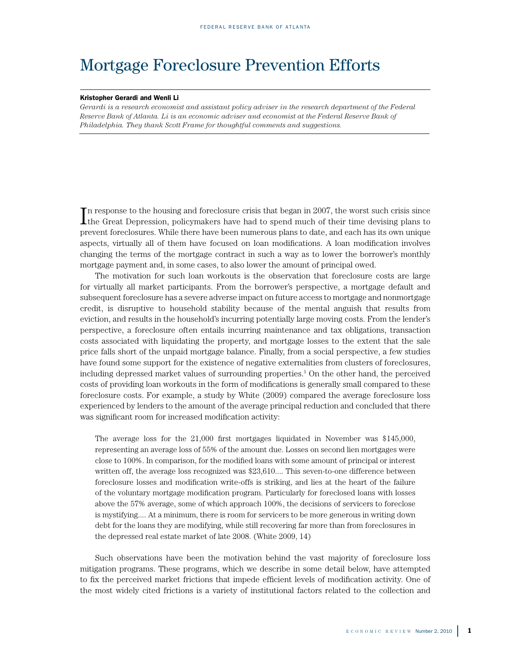# Mortgage Foreclosure Prevention Efforts

# Kristopher Gerardi and Wenli Li

*Gerardi is a research economist and assistant policy adviser in the research department of the Federal Reserve Bank of Atlanta. Li is an economic adviser and economist at the Federal Reserve Bank of Philadelphia. They thank Scott Frame for thoughtful comments and suggestions.*

In response to the housing and foreclosure crisis that began in 2007, the worst such crisis since the Great Depression, policymakers have had to spend much of their time devising plans to In response to the housing and foreclosure crisis that began in  $2007$ , the worst such crisis since prevent foreclosures. While there have been numerous plans to date, and each has its own unique aspects, virtually all of them have focused on loan modifications. A loan modification involves changing the terms of the mortgage contract in such a way as to lower the borrower's monthly mortgage payment and, in some cases, to also lower the amount of principal owed.

The motivation for such loan workouts is the observation that foreclosure costs are large for virtually all market participants. From the borrower's perspective, a mortgage default and subsequent foreclosure has a severe adverse impact on future access to mortgage and nonmortgage credit, is disruptive to household stability because of the mental anguish that results from eviction, and results in the household's incurring potentially large moving costs. From the lender's perspective, a foreclosure often entails incurring maintenance and tax obligations, transaction costs associated with liquidating the property, and mortgage losses to the extent that the sale price falls short of the unpaid mortgage balance. Finally, from a social perspective, a few studies have found some support for the existence of negative externalities from clusters of foreclosures, including depressed market values of surrounding properties.<sup>1</sup> On the other hand, the perceived costs of providing loan workouts in the form of modifications is generally small compared to these foreclosure costs. For example, a study by White (2009) compared the average foreclosure loss experienced by lenders to the amount of the average principal reduction and concluded that there was significant room for increased modification activity:

The average loss for the 21,000 first mortgages liquidated in November was \$145,000, representing an average loss of 55% of the amount due. Losses on second lien mortgages were close to 100%. In comparison, for the modified loans with some amount of principal or interest written off, the average loss recognized was \$23,610.... This seven-to-one difference between foreclosure losses and modification write-offs is striking, and lies at the heart of the failure of the voluntary mortgage modification program. Particularly for foreclosed loans with losses above the 57% average, some of which approach 100%, the decisions of servicers to foreclose is mystifying.... At a minimum, there is room for servicers to be more generous in writing down debt for the loans they are modifying, while still recovering far more than from foreclosures in the depressed real estate market of late 2008. (White 2009, 14)

Such observations have been the motivation behind the vast majority of foreclosure loss mitigation programs. These programs, which we describe in some detail below, have attempted to fix the perceived market frictions that impede efficient levels of modification activity. One of the most widely cited frictions is a variety of institutional factors related to the collection and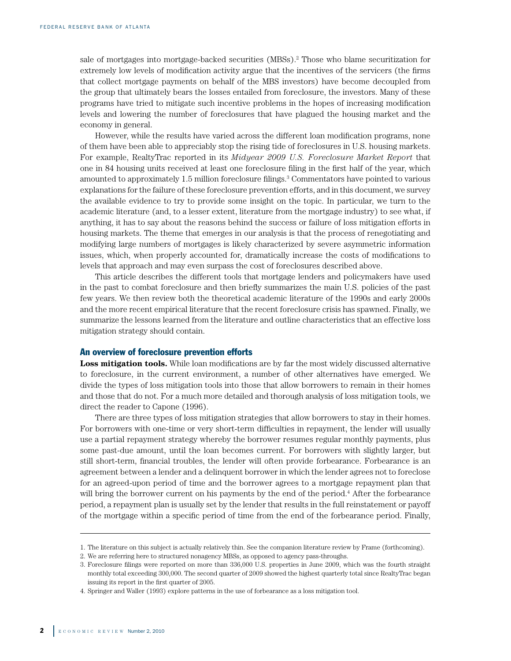sale of mortgages into mortgage-backed securities (MBSs).<sup>2</sup> Those who blame securitization for extremely low levels of modification activity argue that the incentives of the servicers (the firms that collect mortgage payments on behalf of the MBS investors) have become decoupled from the group that ultimately bears the losses entailed from foreclosure, the investors. Many of these programs have tried to mitigate such incentive problems in the hopes of increasing modification levels and lowering the number of foreclosures that have plagued the housing market and the economy in general.

However, while the results have varied across the different loan modification programs, none of them have been able to appreciably stop the rising tide of foreclosures in U.S. housing markets. For example, RealtyTrac reported in its *Midyear 2009 U.S. Foreclosure Market Report* that one in 84 housing units received at least one foreclosure filing in the first half of the year, which amounted to approximately  $1.5$  million foreclosure filings.<sup>3</sup> Commentators have pointed to various explanations for the failure of these foreclosure prevention efforts, and in this document, we survey the available evidence to try to provide some insight on the topic. In particular, we turn to the academic literature (and, to a lesser extent, literature from the mortgage industry) to see what, if anything, it has to say about the reasons behind the success or failure of loss mitigation efforts in housing markets. The theme that emerges in our analysis is that the process of renegotiating and modifying large numbers of mortgages is likely characterized by severe asymmetric information issues, which, when properly accounted for, dramatically increase the costs of modifications to levels that approach and may even surpass the cost of foreclosures described above.

This article describes the different tools that mortgage lenders and policymakers have used in the past to combat foreclosure and then briefly summarizes the main U.S. policies of the past few years. We then review both the theoretical academic literature of the 1990s and early 2000s and the more recent empirical literature that the recent foreclosure crisis has spawned. Finally, we summarize the lessons learned from the literature and outline characteristics that an effective loss mitigation strategy should contain.

# An overview of foreclosure prevention efforts

**Loss mitigation tools.** While loan modifications are by far the most widely discussed alternative to foreclosure, in the current environment, a number of other alternatives have emerged. We divide the types of loss mitigation tools into those that allow borrowers to remain in their homes and those that do not. For a much more detailed and thorough analysis of loss mitigation tools, we direct the reader to Capone (1996).

There are three types of loss mitigation strategies that allow borrowers to stay in their homes. For borrowers with one-time or very short-term difficulties in repayment, the lender will usually use a partial repayment strategy whereby the borrower resumes regular monthly payments, plus some past-due amount, until the loan becomes current. For borrowers with slightly larger, but still short-term, financial troubles, the lender will often provide forbearance. Forbearance is an agreement between a lender and a delinquent borrower in which the lender agrees not to foreclose for an agreed-upon period of time and the borrower agrees to a mortgage repayment plan that will bring the borrower current on his payments by the end of the period.<sup>4</sup> After the forbearance period, a repayment plan is usually set by the lender that results in the full reinstatement or payoff of the mortgage within a specific period of time from the end of the forbearance period. Finally,

<sup>1.</sup> The literature on this subject is actually relatively thin. See the companion literature review by Frame (forthcoming).

<sup>2.</sup> We are referring here to structured nonagency MBSs, as opposed to agency pass-throughs.

<sup>3.</sup> Foreclosure filings were reported on more than 336,000 U.S. properties in June 2009, which was the fourth straight monthly total exceeding 300,000. The second quarter of 2009 showed the highest quarterly total since RealtyTrac began issuing its report in the first quarter of 2005.

<sup>4.</sup> Springer and Waller (1993) explore patterns in the use of forbearance as a loss mitigation tool.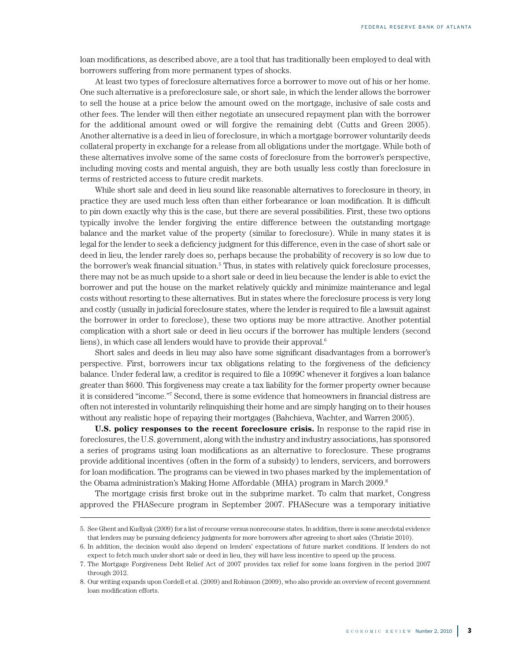loan modifications, as described above, are a tool that has traditionally been employed to deal with borrowers suffering from more permanent types of shocks.

At least two types of foreclosure alternatives force a borrower to move out of his or her home. One such alternative is a preforeclosure sale, or short sale, in which the lender allows the borrower to sell the house at a price below the amount owed on the mortgage, inclusive of sale costs and other fees. The lender will then either negotiate an unsecured repayment plan with the borrower for the additional amount owed or will forgive the remaining debt (Cutts and Green 2005). Another alternative is a deed in lieu of foreclosure, in which a mortgage borrower voluntarily deeds collateral property in exchange for a release from all obligations under the mortgage. While both of these alternatives involve some of the same costs of foreclosure from the borrower's perspective, including moving costs and mental anguish, they are both usually less costly than foreclosure in terms of restricted access to future credit markets.

While short sale and deed in lieu sound like reasonable alternatives to foreclosure in theory, in practice they are used much less often than either forbearance or loan modification. It is difficult to pin down exactly why this is the case, but there are several possibilities. First, these two options typically involve the lender forgiving the entire difference between the outstanding mortgage balance and the market value of the property (similar to foreclosure). While in many states it is legal for the lender to seek a deficiency judgment for this difference, even in the case of short sale or deed in lieu, the lender rarely does so, perhaps because the probability of recovery is so low due to the borrower's weak financial situation.<sup>5</sup> Thus, in states with relatively quick foreclosure processes, there may not be as much upside to a short sale or deed in lieu because the lender is able to evict the borrower and put the house on the market relatively quickly and minimize maintenance and legal costs without resorting to these alternatives. But in states where the foreclosure process is very long and costly (usually in judicial foreclosure states, where the lender is required to file a lawsuit against the borrower in order to foreclose), these two options may be more attractive. Another potential complication with a short sale or deed in lieu occurs if the borrower has multiple lenders (second liens), in which case all lenders would have to provide their approval.<sup>6</sup>

Short sales and deeds in lieu may also have some significant disadvantages from a borrower's perspective. First, borrowers incur tax obligations relating to the forgiveness of the deficiency balance. Under federal law, a creditor is required to file a 1099C whenever it forgives a loan balance greater than \$600. This forgiveness may create a tax liability for the former property owner because it is considered "income."<sup>7</sup> Second, there is some evidence that homeowners in financial distress are often not interested in voluntarily relinquishing their home and are simply hanging on to their houses without any realistic hope of repaying their mortgages (Bahchieva, Wachter, and Warren 2005).

**U.S. policy responses to the recent foreclosure crisis.** In response to the rapid rise in foreclosures, the U.S. government, along with the industry and industry associations, has sponsored a series of programs using loan modifications as an alternative to foreclosure. These programs provide additional incentives (often in the form of a subsidy) to lenders, servicers, and borrowers for loan modification. The programs can be viewed in two phases marked by the implementation of the Obama administration's Making Home Affordable (MHA) program in March 2009.<sup>8</sup>

The mortgage crisis first broke out in the subprime market. To calm that market, Congress approved the FHASecure program in September 2007. FHASecure was a temporary initiative

<sup>5.</sup> See Ghent and Kudlyak (2009) for a list of recourse versus nonrecourse states. In addition, there is some anecdotal evidence that lenders may be pursuing deficiency judgments for more borrowers after agreeing to short sales (Christie 2010).

<sup>6.</sup> In addition, the decision would also depend on lenders' expectations of future market conditions. If lenders do not expect to fetch much under short sale or deed in lieu, they will have less incentive to speed up the process.

<sup>7.</sup> The Mortgage Forgiveness Debt Relief Act of 2007 provides tax relief for some loans forgiven in the period 2007 through 2012.

<sup>8.</sup> Our writing expands upon Cordell et al. (2009) and Robinson (2009), who also provide an overview of recent government loan modification efforts.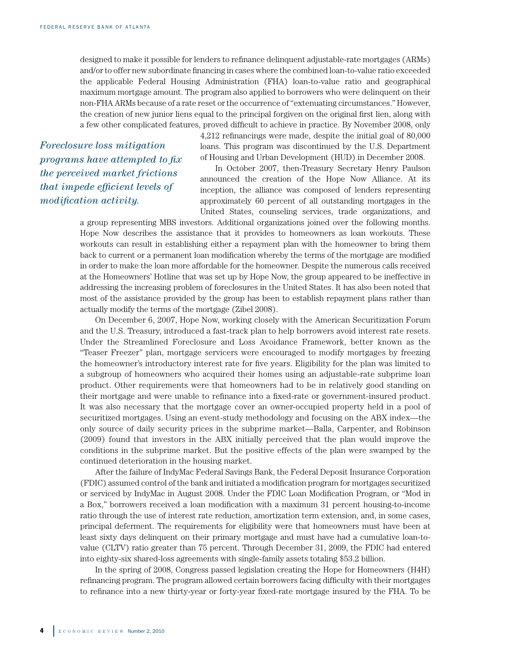designed to make it possible for lenders to refinance delinquent adjustable-rate mortgages (ARMs) and/or to offer new subordinate financing in cases where the combined loan-to-value ratio exceeded the applicable Federal Housing Administration (FHA) loan-to-value ratio and geographical maximum mortgage amount. The program also applied to borrowers who were delinquent on their non-FHA ARMs because of a rate reset or the occurrence of "extenuating circumstances." However, the creation of new junior liens equal to the principal forgiven on the original first lien, along with a few other complicated features, proved difficult to achieve in practice. By November 2008, only

*Foreclosure loss mitigation programs have attempted to fix the perceived market frictions that impede efficient levels of modification activity.*

4,212 refinancings were made, despite the initial goal of 80,000 loans. This program was discontinued by the U.S. Department of Housing and Urban Development (HUD) in December 2008.

In October 2007, then-Treasury Secretary Henry Paulson announced the creation of the Hope Now Alliance. At its inception, the alliance was composed of lenders representing approximately 60 percent of all outstanding mortgages in the United States, counseling services, trade organizations, and

a group representing MBS investors. Additional organizations joined over the following months. Hope Now describes the assistance that it provides to homeowners as loan workouts. These workouts can result in establishing either a repayment plan with the homeowner to bring them back to current or a permanent loan modification whereby the terms of the mortgage are modified in order to make the loan more affordable for the homeowner. Despite the numerous calls received at the Homeowners' Hotline that was set up by Hope Now, the group appeared to be ineffective in addressing the increasing problem of foreclosures in the United States. It has also been noted that most of the assistance provided by the group has been to establish repayment plans rather than actually modify the terms of the mortgage (Zibel 2008).

On December 6, 2007, Hope Now, working closely with the American Securitization Forum and the U.S. Treasury, introduced a fast-track plan to help borrowers avoid interest rate resets. Under the Streamlined Foreclosure and Loss Avoidance Framework, better known as the "Teaser Freezer" plan, mortgage servicers were encouraged to modify mortgages by freezing the homeowner's introductory interest rate for five years. Eligibility for the plan was limited to a subgroup of homeowners who acquired their homes using an adjustable-rate subprime loan product. Other requirements were that homeowners had to be in relatively good standing on their mortgage and were unable to refinance into a fixed-rate or government-insured product. It was also necessary that the mortgage cover an owner-occupied property held in a pool of securitized mortgages. Using an event-study methodology and focusing on the ABX index—the only source of daily security prices in the subprime market—Balla, Carpenter, and Robinson (2009) found that investors in the ABX initially perceived that the plan would improve the conditions in the subprime market. But the positive effects of the plan were swamped by the continued deterioration in the housing market.

After the failure of IndyMac Federal Savings Bank, the Federal Deposit Insurance Corporation (FDIC) assumed control of the bank and initiated a modification program for mortgages securitized or serviced by IndyMac in August 2008. Under the FDIC Loan Modification Program, or "Mod in a Box," borrowers received a loan modification with a maximum 31 percent housing-to-income ratio through the use of interest rate reduction, amortization term extension, and, in some cases, principal deferment. The requirements for eligibility were that homeowners must have been at least sixty days delinquent on their primary mortgage and must have had a cumulative loan-tovalue (CLTV) ratio greater than 75 percent. Through December 31, 2009, the FDIC had entered into eighty-six shared-loss agreements with single-family assets totaling \$53.2 billion.

In the spring of 2008, Congress passed legislation creating the Hope for Homeowners (H4H) refinancing program. The program allowed certain borrowers facing difficulty with their mortgages to refinance into a new thirty-year or forty-year fixed-rate mortgage insured by the FHA. To be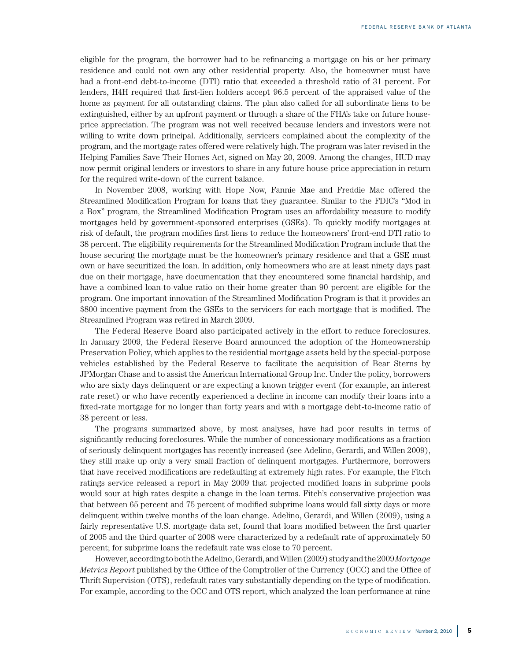eligible for the program, the borrower had to be refinancing a mortgage on his or her primary residence and could not own any other residential property. Also, the homeowner must have had a front-end debt-to-income (DTI) ratio that exceeded a threshold ratio of 31 percent. For lenders, H4H required that first-lien holders accept 96.5 percent of the appraised value of the home as payment for all outstanding claims. The plan also called for all subordinate liens to be extinguished, either by an upfront payment or through a share of the FHA's take on future houseprice appreciation. The program was not well received because lenders and investors were not willing to write down principal. Additionally, servicers complained about the complexity of the program, and the mortgage rates offered were relatively high. The program was later revised in the Helping Families Save Their Homes Act, signed on May 20, 2009. Among the changes, HUD may now permit original lenders or investors to share in any future house-price appreciation in return for the required write-down of the current balance.

In November 2008, working with Hope Now, Fannie Mae and Freddie Mac offered the Streamlined Modification Program for loans that they guarantee. Similar to the FDIC's "Mod in a Box" program, the Streamlined Modification Program uses an affordability measure to modify mortgages held by government-sponsored enterprises (GSEs). To quickly modify mortgages at risk of default, the program modifies first liens to reduce the homeowners' front-end DTI ratio to 38 percent. The eligibility requirements for the Streamlined Modification Program include that the house securing the mortgage must be the homeowner's primary residence and that a GSE must own or have securitized the loan. In addition, only homeowners who are at least ninety days past due on their mortgage, have documentation that they encountered some financial hardship, and have a combined loan-to-value ratio on their home greater than 90 percent are eligible for the program. One important innovation of the Streamlined Modification Program is that it provides an \$800 incentive payment from the GSEs to the servicers for each mortgage that is modified. The Streamlined Program was retired in March 2009.

The Federal Reserve Board also participated actively in the effort to reduce foreclosures. In January 2009, the Federal Reserve Board announced the adoption of the Homeownership Preservation Policy, which applies to the residential mortgage assets held by the special-purpose vehicles established by the Federal Reserve to facilitate the acquisition of Bear Sterns by JPMorgan Chase and to assist the American International Group Inc. Under the policy, borrowers who are sixty days delinquent or are expecting a known trigger event (for example, an interest rate reset) or who have recently experienced a decline in income can modify their loans into a fixed-rate mortgage for no longer than forty years and with a mortgage debt-to-income ratio of 38 percent or less.

The programs summarized above, by most analyses, have had poor results in terms of significantly reducing foreclosures. While the number of concessionary modifications as a fraction of seriously delinquent mortgages has recently increased (see Adelino, Gerardi, and Willen 2009), they still make up only a very small fraction of delinquent mortgages. Furthermore, borrowers that have received modifications are redefaulting at extremely high rates. For example, the Fitch ratings service released a report in May 2009 that projected modified loans in subprime pools would sour at high rates despite a change in the loan terms. Fitch's conservative projection was that between 65 percent and 75 percent of modified subprime loans would fall sixty days or more delinquent within twelve months of the loan change. Adelino, Gerardi, and Willen (2009), using a fairly representative U.S. mortgage data set, found that loans modified between the first quarter of 2005 and the third quarter of 2008 were characterized by a redefault rate of approximately 50 percent; for subprime loans the redefault rate was close to 70 percent.

However, according to both the Adelino, Gerardi, and Willen (2009) study and the 2009 *Mortgage Metrics Report* published by the Office of the Comptroller of the Currency (OCC) and the Office of Thrift Supervision (OTS), redefault rates vary substantially depending on the type of modification. For example, according to the OCC and OTS report, which analyzed the loan performance at nine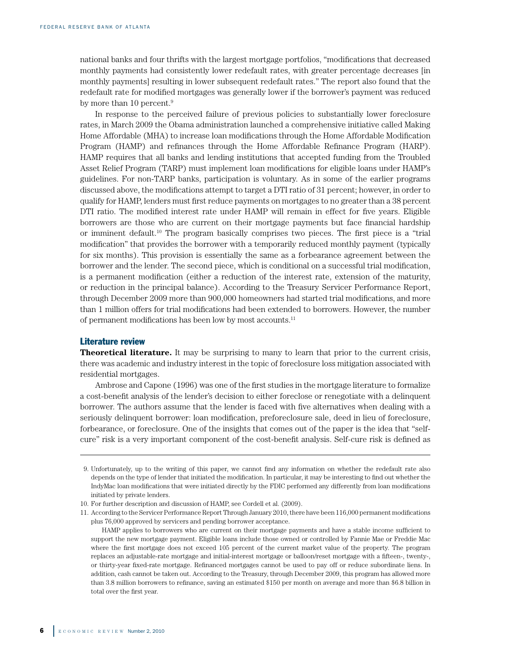national banks and four thrifts with the largest mortgage portfolios, "modifications that decreased monthly payments had consistently lower redefault rates, with greater percentage decreases [in monthly payments] resulting in lower subsequent redefault rates." The report also found that the redefault rate for modified mortgages was generally lower if the borrower's payment was reduced by more than 10 percent.<sup>9</sup>

In response to the perceived failure of previous policies to substantially lower foreclosure rates, in March 2009 the Obama administration launched a comprehensive initiative called Making Home Affordable (MHA) to increase loan modifications through the Home Affordable Modification Program (HAMP) and refinances through the Home Affordable Refinance Program (HARP). HAMP requires that all banks and lending institutions that accepted funding from the Troubled Asset Relief Program (TARP) must implement loan modifications for eligible loans under HAMP's guidelines. For non-TARP banks, participation is voluntary. As in some of the earlier programs discussed above, the modifications attempt to target a DTI ratio of 31 percent; however, in order to qualify for HAMP, lenders must first reduce payments on mortgages to no greater than a 38 percent DTI ratio. The modified interest rate under HAMP will remain in effect for five years. Eligible borrowers are those who are current on their mortgage payments but face financial hardship or imminent default.10 The program basically comprises two pieces. The first piece is a "trial modification" that provides the borrower with a temporarily reduced monthly payment (typically for six months). This provision is essentially the same as a forbearance agreement between the borrower and the lender. The second piece, which is conditional on a successful trial modification, is a permanent modification (either a reduction of the interest rate, extension of the maturity, or reduction in the principal balance). According to the Treasury Servicer Performance Report, through December 2009 more than 900,000 homeowners had started trial modifications, and more than 1 million offers for trial modifications had been extended to borrowers. However, the number of permanent modifications has been low by most accounts.<sup>11</sup>

# Literature review

**Theoretical literature.** It may be surprising to many to learn that prior to the current crisis, there was academic and industry interest in the topic of foreclosure loss mitigation associated with residential mortgages.

Ambrose and Capone (1996) was one of the first studies in the mortgage literature to formalize a cost-benefit analysis of the lender's decision to either foreclose or renegotiate with a delinquent borrower. The authors assume that the lender is faced with five alternatives when dealing with a seriously delinquent borrower: loan modification, preforeclosure sale, deed in lieu of foreclosure, forbearance, or foreclosure. One of the insights that comes out of the paper is the idea that "selfcure" risk is a very important component of the cost-benefit analysis. Self-cure risk is defined as

 <sup>9.</sup> Unfortunately, up to the writing of this paper, we cannot find any information on whether the redefault rate also depends on the type of lender that initiated the modification. In particular, it may be interesting to find out whether the IndyMac loan modifications that were initiated directly by the FDIC performed any differently from loan modifications initiated by private lenders.

<sup>10.</sup> For further description and discussion of HAMP, see Cordell et al. (2009).

<sup>11.</sup> According to the Servicer Performance Report Through January 2010, there have been 116,000 permanent modifications plus 76,000 approved by servicers and pending borrower acceptance.

HAMP applies to borrowers who are current on their mortgage payments and have a stable income sufficient to support the new mortgage payment. Eligible loans include those owned or controlled by Fannie Mae or Freddie Mac where the first mortgage does not exceed 105 percent of the current market value of the property. The program replaces an adjustable-rate mortgage and initial-interest mortgage or balloon/reset mortgage with a fifteen-, twenty-, or thirty-year fixed-rate mortgage. Refinanced mortgages cannot be used to pay off or reduce subordinate liens. In addition, cash cannot be taken out. According to the Treasury, through December 2009, this program has allowed more than 3.8 million borrowers to refinance, saving an estimated \$150 per month on average and more than \$6.8 billion in total over the first year.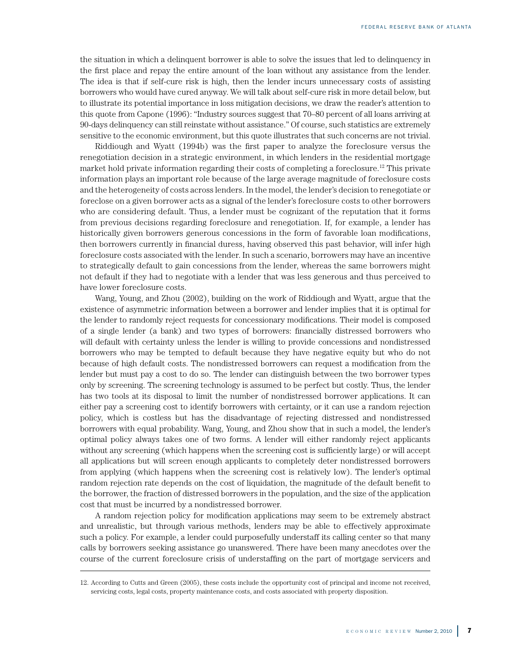the situation in which a delinquent borrower is able to solve the issues that led to delinquency in the first place and repay the entire amount of the loan without any assistance from the lender. The idea is that if self-cure risk is high, then the lender incurs unnecessary costs of assisting borrowers who would have cured anyway. We will talk about self-cure risk in more detail below, but to illustrate its potential importance in loss mitigation decisions, we draw the reader's attention to this quote from Capone (1996): "Industry sources suggest that 70–80 percent of all loans arriving at 90-days delinquency can still reinstate without assistance." Of course, such statistics are extremely sensitive to the economic environment, but this quote illustrates that such concerns are not trivial.

Riddiough and Wyatt (1994b) was the first paper to analyze the foreclosure versus the renegotiation decision in a strategic environment, in which lenders in the residential mortgage market hold private information regarding their costs of completing a foreclosure.<sup>12</sup> This private information plays an important role because of the large average magnitude of foreclosure costs and the heterogeneity of costs across lenders. In the model, the lender's decision to renegotiate or foreclose on a given borrower acts as a signal of the lender's foreclosure costs to other borrowers who are considering default. Thus, a lender must be cognizant of the reputation that it forms from previous decisions regarding foreclosure and renegotiation. If, for example, a lender has historically given borrowers generous concessions in the form of favorable loan modifications, then borrowers currently in financial duress, having observed this past behavior, will infer high foreclosure costs associated with the lender. In such a scenario, borrowers may have an incentive to strategically default to gain concessions from the lender, whereas the same borrowers might not default if they had to negotiate with a lender that was less generous and thus perceived to have lower foreclosure costs.

Wang, Young, and Zhou (2002), building on the work of Riddiough and Wyatt, argue that the existence of asymmetric information between a borrower and lender implies that it is optimal for the lender to randomly reject requests for concessionary modifications. Their model is composed of a single lender (a bank) and two types of borrowers: financially distressed borrowers who will default with certainty unless the lender is willing to provide concessions and nondistressed borrowers who may be tempted to default because they have negative equity but who do not because of high default costs. The nondistressed borrowers can request a modification from the lender but must pay a cost to do so. The lender can distinguish between the two borrower types only by screening. The screening technology is assumed to be perfect but costly. Thus, the lender has two tools at its disposal to limit the number of nondistressed borrower applications. It can either pay a screening cost to identify borrowers with certainty, or it can use a random rejection policy, which is costless but has the disadvantage of rejecting distressed and nondistressed borrowers with equal probability. Wang, Young, and Zhou show that in such a model, the lender's optimal policy always takes one of two forms. A lender will either randomly reject applicants without any screening (which happens when the screening cost is sufficiently large) or will accept all applications but will screen enough applicants to completely deter nondistressed borrowers from applying (which happens when the screening cost is relatively low). The lender's optimal random rejection rate depends on the cost of liquidation, the magnitude of the default benefit to the borrower, the fraction of distressed borrowers in the population, and the size of the application cost that must be incurred by a nondistressed borrower.

A random rejection policy for modification applications may seem to be extremely abstract and unrealistic, but through various methods, lenders may be able to effectively approximate such a policy. For example, a lender could purposefully understaff its calling center so that many calls by borrowers seeking assistance go unanswered. There have been many anecdotes over the course of the current foreclosure crisis of understaffing on the part of mortgage servicers and

<sup>12.</sup> According to Cutts and Green (2005), these costs include the opportunity cost of principal and income not received, servicing costs, legal costs, property maintenance costs, and costs associated with property disposition.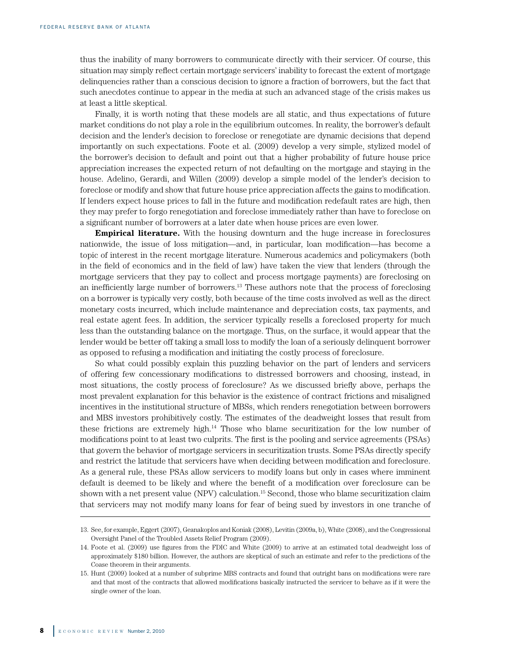thus the inability of many borrowers to communicate directly with their servicer. Of course, this situation may simply reflect certain mortgage servicers' inability to forecast the extent of mortgage delinquencies rather than a conscious decision to ignore a fraction of borrowers, but the fact that such anecdotes continue to appear in the media at such an advanced stage of the crisis makes us at least a little skeptical.

Finally, it is worth noting that these models are all static, and thus expectations of future market conditions do not play a role in the equilibrium outcomes. In reality, the borrower's default decision and the lender's decision to foreclose or renegotiate are dynamic decisions that depend importantly on such expectations. Foote et al. (2009) develop a very simple, stylized model of the borrower's decision to default and point out that a higher probability of future house price appreciation increases the expected return of not defaulting on the mortgage and staying in the house. Adelino, Gerardi, and Willen (2009) develop a simple model of the lender's decision to foreclose or modify and show that future house price appreciation affects the gains to modification. If lenders expect house prices to fall in the future and modification redefault rates are high, then they may prefer to forgo renegotiation and foreclose immediately rather than have to foreclose on a significant number of borrowers at a later date when house prices are even lower.

**Empirical literature.** With the housing downturn and the huge increase in foreclosures nationwide, the issue of loss mitigation—and, in particular, loan modification—has become a topic of interest in the recent mortgage literature. Numerous academics and policymakers (both in the field of economics and in the field of law) have taken the view that lenders (through the mortgage servicers that they pay to collect and process mortgage payments) are foreclosing on an inefficiently large number of borrowers.<sup>13</sup> These authors note that the process of foreclosing on a borrower is typically very costly, both because of the time costs involved as well as the direct monetary costs incurred, which include maintenance and depreciation costs, tax payments, and real estate agent fees. In addition, the servicer typically resells a foreclosed property for much less than the outstanding balance on the mortgage. Thus, on the surface, it would appear that the lender would be better off taking a small loss to modify the loan of a seriously delinquent borrower as opposed to refusing a modification and initiating the costly process of foreclosure.

So what could possibly explain this puzzling behavior on the part of lenders and servicers of offering few concessionary modifications to distressed borrowers and choosing, instead, in most situations, the costly process of foreclosure? As we discussed briefly above, perhaps the most prevalent explanation for this behavior is the existence of contract frictions and misaligned incentives in the institutional structure of MBSs, which renders renegotiation between borrowers and MBS investors prohibitively costly. The estimates of the deadweight losses that result from these frictions are extremely high.14 Those who blame securitization for the low number of modifications point to at least two culprits. The first is the pooling and service agreements (PSAs) that govern the behavior of mortgage servicers in securitization trusts. Some PSAs directly specify and restrict the latitude that servicers have when deciding between modification and foreclosure. As a general rule, these PSAs allow servicers to modify loans but only in cases where imminent default is deemed to be likely and where the benefit of a modification over foreclosure can be shown with a net present value (NPV) calculation.15 Second, those who blame securitization claim that servicers may not modify many loans for fear of being sued by investors in one tranche of

<sup>13.</sup> See, for example, Eggert (2007), Geanakoplos and Koniak (2008), Levitin (2009a, b), White (2008), and the Congressional Oversight Panel of the Troubled Assets Relief Program (2009).

<sup>14.</sup> Foote et al. (2009) use figures from the FDIC and White (2009) to arrive at an estimated total deadweight loss of approximately \$180 billion. However, the authors are skeptical of such an estimate and refer to the predictions of the Coase theorem in their arguments.

<sup>15.</sup> Hunt (2009) looked at a number of subprime MBS contracts and found that outright bans on modifications were rare and that most of the contracts that allowed modifications basically instructed the servicer to behave as if it were the single owner of the loan.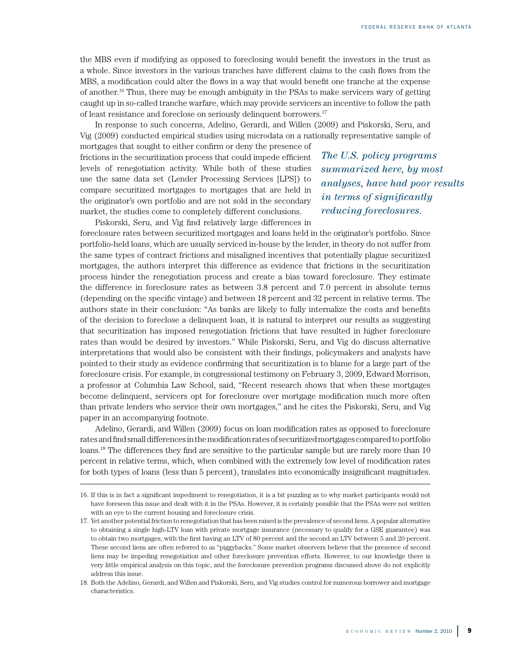the MBS even if modifying as opposed to foreclosing would benefit the investors in the trust as a whole. Since investors in the various tranches have different claims to the cash flows from the MBS, a modification could alter the flows in a way that would benefit one tranche at the expense of another.16 Thus, there may be enough ambiguity in the PSAs to make servicers wary of getting caught up in so-called tranche warfare, which may provide servicers an incentive to follow the path of least resistance and foreclose on seriously delinquent borrowers.<sup>17</sup>

In response to such concerns, Adelino, Gerardi, and Willen (2009) and Piskorski, Seru, and Vig (2009) conducted empirical studies using microdata on a nationally representative sample of

mortgages that sought to either confirm or deny the presence of frictions in the securitization process that could impede efficient levels of renegotiation activity. While both of these studies use the same data set (Lender Processing Services [LPS]) to compare securitized mortgages to mortgages that are held in the originator's own portfolio and are not sold in the secondary market, the studies come to completely different conclusions.

Piskorski, Seru, and Vig find relatively large differences in

*The U.S. policy programs summarized here, by most analyses, have had poor results in terms of significantly reducing foreclosures.*

foreclosure rates between securitized mortgages and loans held in the originator's portfolio. Since portfolio-held loans, which are usually serviced in-house by the lender, in theory do not suffer from the same types of contract frictions and misaligned incentives that potentially plague securitized mortgages, the authors interpret this difference as evidence that frictions in the securitization process hinder the renegotiation process and create a bias toward foreclosure. They estimate the difference in foreclosure rates as between 3.8 percent and 7.0 percent in absolute terms (depending on the specific vintage) and between 18 percent and 32 percent in relative terms. The authors state in their conclusion: "As banks are likely to fully internalize the costs and benefits of the decision to foreclose a delinquent loan, it is natural to interpret our results as suggesting that securitization has imposed renegotiation frictions that have resulted in higher foreclosure rates than would be desired by investors." While Piskorski, Seru, and Vig do discuss alternative interpretations that would also be consistent with their findings, policymakers and analysts have pointed to their study as evidence confirming that securitization is to blame for a large part of the foreclosure crisis. For example, in congressional testimony on February 3, 2009, Edward Morrison, a professor at Columbia Law School, said, "Recent research shows that when these mortgages become delinquent, servicers opt for foreclosure over mortgage modification much more often than private lenders who service their own mortgages," and he cites the Piskorski, Seru, and Vig paper in an accompanying footnote.

Adelino, Gerardi, and Willen (2009) focus on loan modification rates as opposed to foreclosure rates and find small differences in the modification rates of securitized mortgages compared to portfolio loans.<sup>18</sup> The differences they find are sensitive to the particular sample but are rarely more than 10 percent in relative terms, which, when combined with the extremely low level of modification rates for both types of loans (less than 5 percent), translates into economically insignificant magnitudes.

<sup>16.</sup> If this is in fact a significant impediment to renegotiation, it is a bit puzzling as to why market participants would not have foreseen this issue and dealt with it in the PSAs. However, it is certainly possible that the PSAs were not written with an eye to the current housing and foreclosure crisis.

<sup>17.</sup> Yet another potential friction to renegotiation that has been raised is the prevalence of second liens. A popular alternative to obtaining a single high-LTV loan with private mortgage insurance (necessary to qualify for a GSE guarantee) was to obtain two mortgages, with the first having an LTV of 80 percent and the second an LTV between 5 and 20 percent. These second liens are often referred to as "piggybacks." Some market observers believe that the presence of second liens may be impeding renegotiation and other foreclosure prevention efforts. However, to our knowledge there is very little empirical analysis on this topic, and the foreclosure prevention programs discussed above do not explicitly address this issue.

<sup>18.</sup> Both the Adelino, Gerardi, and Willen and Piskorski, Seru, and Vig studies control for numerous borrower and mortgage characteristics.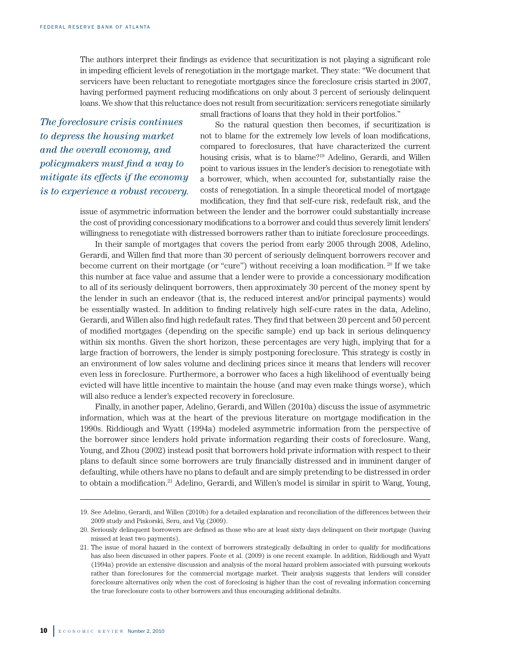The authors interpret their findings as evidence that securitization is not playing a significant role in impeding efficient levels of renegotiation in the mortgage market. They state: "We document that servicers have been reluctant to renegotiate mortgages since the foreclosure crisis started in 2007, having performed payment reducing modifications on only about 3 percent of seriously delinquent loans. We show that this reluctance does not result from securitization: servicers renegotiate similarly

*The foreclosure crisis continues to depress the housing market and the overall economy, and policymakers must find a way to mitigate its effects if the economy is to experience a robust recovery.* small fractions of loans that they hold in their portfolios."

So the natural question then becomes, if securitization is not to blame for the extremely low levels of loan modifications, compared to foreclosures, that have characterized the current housing crisis, what is to blame?19 Adelino, Gerardi, and Willen point to various issues in the lender's decision to renegotiate with a borrower, which, when accounted for, substantially raise the costs of renegotiation. In a simple theoretical model of mortgage modification, they find that self-cure risk, redefault risk, and the

issue of asymmetric information between the lender and the borrower could substantially increase the cost of providing concessionary modifications to a borrower and could thus severely limit lenders' willingness to renegotiate with distressed borrowers rather than to initiate foreclosure proceedings.

In their sample of mortgages that covers the period from early 2005 through 2008, Adelino, Gerardi, and Willen find that more than 30 percent of seriously delinquent borrowers recover and become current on their mortgage (or "cure") without receiving a loan modification. 20 If we take this number at face value and assume that a lender were to provide a concessionary modification to all of its seriously delinquent borrowers, then approximately 30 percent of the money spent by the lender in such an endeavor (that is, the reduced interest and/or principal payments) would be essentially wasted. In addition to finding relatively high self-cure rates in the data, Adelino, Gerardi, and Willen also find high redefault rates. They find that between 20 percent and 50 percent of modified mortgages (depending on the specific sample) end up back in serious delinquency within six months. Given the short horizon, these percentages are very high, implying that for a large fraction of borrowers, the lender is simply postponing foreclosure. This strategy is costly in an environment of low sales volume and declining prices since it means that lenders will recover even less in foreclosure. Furthermore, a borrower who faces a high likelihood of eventually being evicted will have little incentive to maintain the house (and may even make things worse), which will also reduce a lender's expected recovery in foreclosure.

Finally, in another paper, Adelino, Gerardi, and Willen (2010a) discuss the issue of asymmetric information, which was at the heart of the previous literature on mortgage modification in the 1990s. Riddiough and Wyatt (1994a) modeled asymmetric information from the perspective of the borrower since lenders hold private information regarding their costs of foreclosure. Wang, Young, and Zhou (2002) instead posit that borrowers hold private information with respect to their plans to default since some borrowers are truly financially distressed and in imminent danger of defaulting, while others have no plans to default and are simply pretending to be distressed in order to obtain a modification.<sup>21</sup> Adelino, Gerardi, and Willen's model is similar in spirit to Wang, Young,

<sup>19.</sup> See Adelino, Gerardi, and Willen (2010b) for a detailed explanation and reconciliation of the differences between their 2009 study and Piskorski, Seru, and Vig (2009).

<sup>20.</sup> Seriously delinquent borrowers are defined as those who are at least sixty days delinquent on their mortgage (having missed at least two payments).

<sup>21.</sup> The issue of moral hazard in the context of borrowers strategically defaulting in order to qualify for modifications has also been discussed in other papers. Foote et al. (2009) is one recent example. In addition, Riddiough and Wyatt (1994a) provide an extensive discussion and analysis of the moral hazard problem associated with pursuing workouts rather than foreclosures for the commercial mortgage market. Their analysis suggests that lenders will consider foreclosure alternatives only when the cost of foreclosing is higher than the cost of revealing information concerning the true foreclosure costs to other borrowers and thus encouraging additional defaults.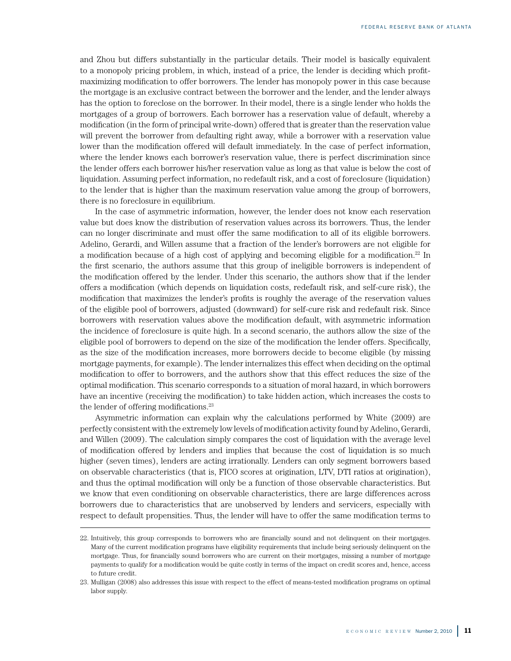and Zhou but differs substantially in the particular details. Their model is basically equivalent to a monopoly pricing problem, in which, instead of a price, the lender is deciding which profitmaximizing modification to offer borrowers. The lender has monopoly power in this case because the mortgage is an exclusive contract between the borrower and the lender, and the lender always has the option to foreclose on the borrower. In their model, there is a single lender who holds the mortgages of a group of borrowers. Each borrower has a reservation value of default, whereby a modification (in the form of principal write-down) offered that is greater than the reservation value will prevent the borrower from defaulting right away, while a borrower with a reservation value lower than the modification offered will default immediately. In the case of perfect information, where the lender knows each borrower's reservation value, there is perfect discrimination since the lender offers each borrower his/her reservation value as long as that value is below the cost of liquidation. Assuming perfect information, no redefault risk, and a cost of foreclosure (liquidation) to the lender that is higher than the maximum reservation value among the group of borrowers, there is no foreclosure in equilibrium.

In the case of asymmetric information, however, the lender does not know each reservation value but does know the distribution of reservation values across its borrowers. Thus, the lender can no longer discriminate and must offer the same modification to all of its eligible borrowers. Adelino, Gerardi, and Willen assume that a fraction of the lender's borrowers are not eligible for a modification because of a high cost of applying and becoming eligible for a modification.<sup>22</sup> In the first scenario, the authors assume that this group of ineligible borrowers is independent of the modification offered by the lender. Under this scenario, the authors show that if the lender offers a modification (which depends on liquidation costs, redefault risk, and self-cure risk), the modification that maximizes the lender's profits is roughly the average of the reservation values of the eligible pool of borrowers, adjusted (downward) for self-cure risk and redefault risk. Since borrowers with reservation values above the modification default, with asymmetric information the incidence of foreclosure is quite high. In a second scenario, the authors allow the size of the eligible pool of borrowers to depend on the size of the modification the lender offers. Specifically, as the size of the modification increases, more borrowers decide to become eligible (by missing mortgage payments, for example). The lender internalizes this effect when deciding on the optimal modification to offer to borrowers, and the authors show that this effect reduces the size of the optimal modification. This scenario corresponds to a situation of moral hazard, in which borrowers have an incentive (receiving the modification) to take hidden action, which increases the costs to the lender of offering modifications.23

Asymmetric information can explain why the calculations performed by White (2009) are perfectly consistent with the extremely low levels of modification activity found by Adelino, Gerardi, and Willen (2009). The calculation simply compares the cost of liquidation with the average level of modification offered by lenders and implies that because the cost of liquidation is so much higher (seven times), lenders are acting irrationally. Lenders can only segment borrowers based on observable characteristics (that is, FICO scores at origination, LTV, DTI ratios at origination), and thus the optimal modification will only be a function of those observable characteristics. But we know that even conditioning on observable characteristics, there are large differences across borrowers due to characteristics that are unobserved by lenders and servicers, especially with respect to default propensities. Thus, the lender will have to offer the same modification terms to

<sup>22.</sup> Intuitively, this group corresponds to borrowers who are financially sound and not delinquent on their mortgages. Many of the current modification programs have eligibility requirements that include being seriously delinquent on the mortgage. Thus, for financially sound borrowers who are current on their mortgages, missing a number of mortgage payments to qualify for a modification would be quite costly in terms of the impact on credit scores and, hence, access to future credit.

<sup>23.</sup> Mulligan (2008) also addresses this issue with respect to the effect of means-tested modification programs on optimal labor supply.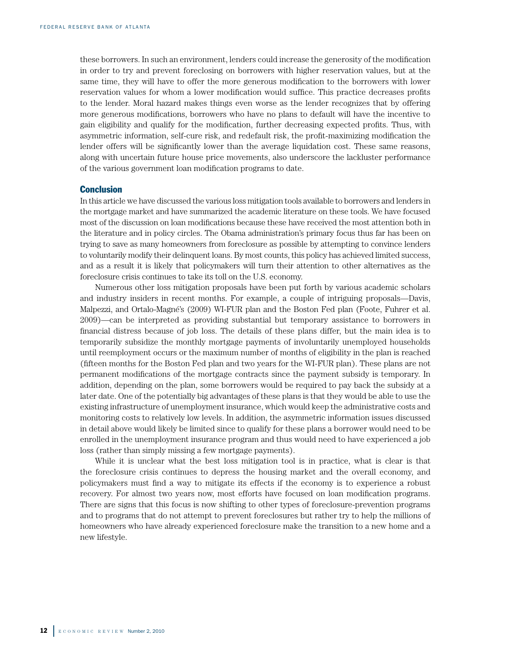these borrowers. In such an environment, lenders could increase the generosity of the modification in order to try and prevent foreclosing on borrowers with higher reservation values, but at the same time, they will have to offer the more generous modification to the borrowers with lower reservation values for whom a lower modification would suffice. This practice decreases profits to the lender. Moral hazard makes things even worse as the lender recognizes that by offering more generous modifications, borrowers who have no plans to default will have the incentive to gain eligibility and qualify for the modification, further decreasing expected profits. Thus, with asymmetric information, self-cure risk, and redefault risk, the profit-maximizing modification the lender offers will be significantly lower than the average liquidation cost. These same reasons, along with uncertain future house price movements, also underscore the lackluster performance of the various government loan modification programs to date.

# **Conclusion**

In this article we have discussed the various loss mitigation tools available to borrowers and lenders in the mortgage market and have summarized the academic literature on these tools. We have focused most of the discussion on loan modifications because these have received the most attention both in the literature and in policy circles. The Obama administration's primary focus thus far has been on trying to save as many homeowners from foreclosure as possible by attempting to convince lenders to voluntarily modify their delinquent loans. By most counts, this policy has achieved limited success, and as a result it is likely that policymakers will turn their attention to other alternatives as the foreclosure crisis continues to take its toll on the U.S. economy.

Numerous other loss mitigation proposals have been put forth by various academic scholars and industry insiders in recent months. For example, a couple of intriguing proposals—Davis, Malpezzi, and Ortalo-Magné's (2009) WI-FUR plan and the Boston Fed plan (Foote, Fuhrer et al. 2009)—can be interpreted as providing substantial but temporary assistance to borrowers in financial distress because of job loss. The details of these plans differ, but the main idea is to temporarily subsidize the monthly mortgage payments of involuntarily unemployed households until reemployment occurs or the maximum number of months of eligibility in the plan is reached (fifteen months for the Boston Fed plan and two years for the WI-FUR plan). These plans are not permanent modifications of the mortgage contracts since the payment subsidy is temporary. In addition, depending on the plan, some borrowers would be required to pay back the subsidy at a later date. One of the potentially big advantages of these plans is that they would be able to use the existing infrastructure of unemployment insurance, which would keep the administrative costs and monitoring costs to relatively low levels. In addition, the asymmetric information issues discussed in detail above would likely be limited since to qualify for these plans a borrower would need to be enrolled in the unemployment insurance program and thus would need to have experienced a job loss (rather than simply missing a few mortgage payments).

While it is unclear what the best loss mitigation tool is in practice, what is clear is that the foreclosure crisis continues to depress the housing market and the overall economy, and policymakers must find a way to mitigate its effects if the economy is to experience a robust recovery. For almost two years now, most efforts have focused on loan modification programs. There are signs that this focus is now shifting to other types of foreclosure-prevention programs and to programs that do not attempt to prevent foreclosures but rather try to help the millions of homeowners who have already experienced foreclosure make the transition to a new home and a new lifestyle.